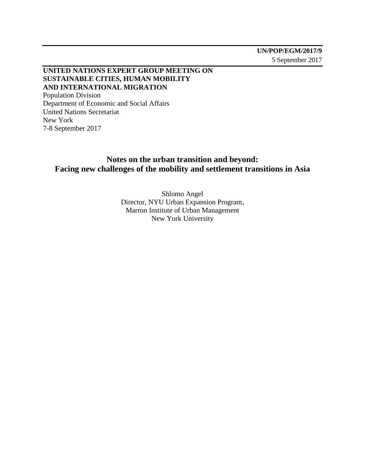## **UNITED NATIONS EXPERT GROUP MEETING ON SUSTAINABLE CITIES, HUMAN MOBILITY AND INTERNATIONAL MIGRATION** Population Division Department of Economic and Social Affairs

United Nations Secretariat New York 7-8 September 2017

# **Notes on the urban transition and beyond: Facing new challenges of the mobility and settlement transitions in Asia**

Shlomo Angel Director, NYU Urban Expansion Program, Marron Institute of Urban Management New York University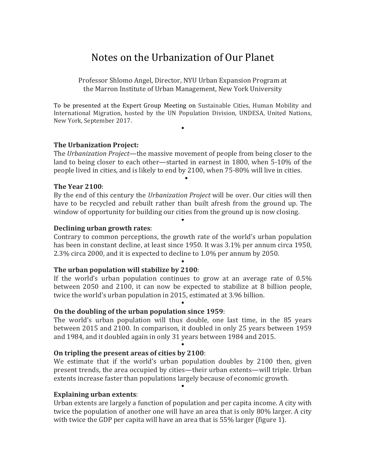# Notes on the Urbanization of Our Planet

Professor Shlomo Angel, Director, NYU Urban Expansion Program at the Marron Institute of Urban Management, New York University

To be presented at the Expert Group Meeting on Sustainable Cities, Human Mobility and International Migration, hosted by the UN Population Division, UNDESA, United Nations, New York, September 2017.

 $\bullet$ 

## **The Urbanization Project:**

The *Urbanization Project*—the massive movement of people from being closer to the land to being closer to each other—started in earnest in 1800, when 5-10% of the people lived in cities, and is likely to end by 2100, when 75-80% will live in cities.

 $\bullet$ 

## **The Year 2100**:

By the end of this century the *Urbanization Project* will be over. Our cities will then have to be recycled and rebuilt rather than built afresh from the ground up. The window of opportunity for building our cities from the ground up is now closing.

 $\bullet$ 

## **Declining urban growth rates:**

Contrary to common perceptions, the growth rate of the world's urban population has been in constant decline, at least since 1950. It was 3.1% per annum circa 1950,  $2.3\%$  circa 2000, and it is expected to decline to  $1.0\%$  per annum by 2050.

 $\bullet$ 

## **The urban population will stabilize by 2100:**

If the world's urban population continues to grow at an average rate of  $0.5\%$ between 2050 and 2100, it can now be expected to stabilize at 8 billion people, twice the world's urban population in 2015, estimated at 3.96 billion.

 $\bullet$ 

## **On the doubling of the urban population since 1959:**

The world's urban population will thus double, one last time, in the 85 years between 2015 and 2100. In comparison, it doubled in only 25 years between 1959 and 1984, and it doubled again in only 31 years between 1984 and 2015.

 $\bullet$ 

## **On tripling the present areas of cities by 2100:**

We estimate that if the world's urban population doubles by 2100 then, given present trends, the area occupied by cities—their urban extents—will triple. Urban extents increase faster than populations largely because of economic growth.

 $\bullet$ 

#### **Explaining urban extents:**

Urban extents are largely a function of population and per capita income. A city with twice the population of another one will have an area that is only 80% larger. A city with twice the GDP per capita will have an area that is  $55\%$  larger (figure 1).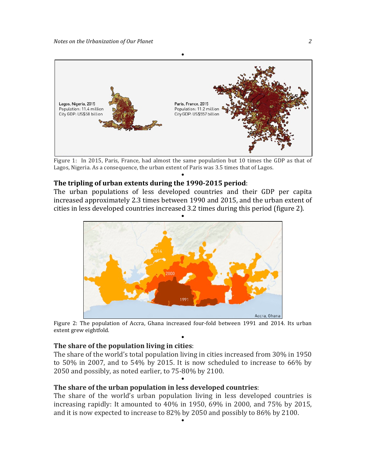

Figure 1: In 2015, Paris, France, had almost the same population but 10 times the GDP as that of Lagos, Nigeria. As a consequence, the urban extent of Paris was 3.5 times that of Lagos.  $\bullet$ 

#### **The tripling of urban extents during the 1990-2015 period:**

The urban populations of less developed countries and their GDP per capita increased approximately 2.3 times between 1990 and 2015, and the urban extent of cities in less developed countries increased 3.2 times during this period (figure 2).



Figure 2: The population of Accra, Ghana increased four-fold between 1991 and 2014. Its urban extent grew eightfold.  $\bullet$ 

#### **The share of the population living in cities:**

The share of the world's total population living in cities increased from  $30\%$  in 1950 to  $50\%$  in 2007, and to  $54\%$  by 2015. It is now scheduled to increase to  $66\%$  by 2050 and possibly, as noted earlier, to 75-80% by 2100.

 $\bullet$ 

#### **The share of the urban population in less developed countries:**

The share of the world's urban population living in less developed countries is increasing rapidly: It amounted to  $40\%$  in 1950, 69% in 2000, and  $75\%$  by 2015, and it is now expected to increase to  $82\%$  by  $2050$  and possibly to  $86\%$  by  $2100$ .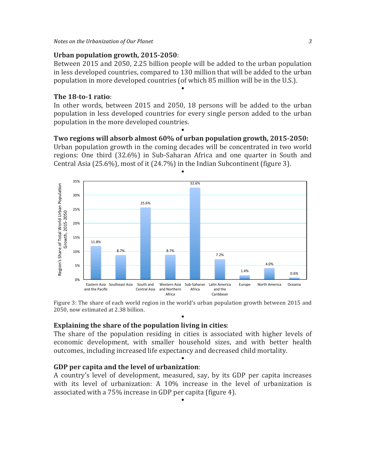## **Urban population growth, 2015-2050**:

Between 2015 and 2050, 2.25 billion people will be added to the urban population in less developed countries, compared to 130 million that will be added to the urban population in more developed countries (of which 85 million will be in the U.S.).

 $\bullet$ 

## **The 18-to-1 ratio**:

In other words, between 2015 and 2050, 18 persons will be added to the urban population in less developed countries for every single person added to the urban population in the more developed countries.

#### $\bullet$ **Two regions will absorb almost 60% of urban population growth, 2015-2050:**

Urban population growth in the coming decades will be concentrated in two world regions: One third (32.6%) in Sub-Saharan Africa and one quarter in South and Central Asia (25.6%), most of it (24.7%) in the Indian Subcontinent (figure 3).

 $\bullet$ 



Figure 3: The share of each world region in the world's urban population growth between 2015 and 2050, now estimated at 2.38 billion.  $\bullet$ 

## **Explaining the share of the population living in cities:**

The share of the population residing in cities is associated with higher levels of economic development, with smaller household sizes, and with better health outcomes, including increased life expectancy and decreased child mortality.

 $\bullet$ 

## **GDP** per capita and the level of urbanization:

A country's level of development, measured, say, by its GDP per capita increases with its level of urbanization: A  $10\%$  increase in the level of urbanization is associated with a 75% increase in GDP per capita (figure 4).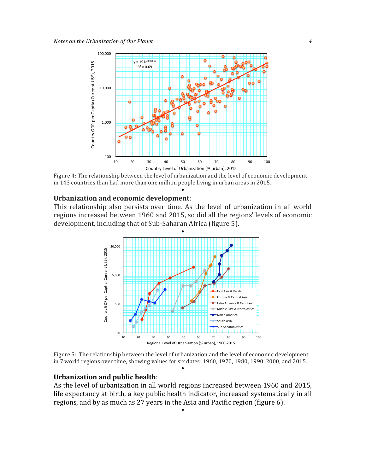

Figure 4: The relationship between the level of urbanization and the level of economic development in 143 countries than had more than one million people living in urban areas in 2015.

 $\bullet$ 

#### **Urbanization and economic development:**

This relationship also persists over time. As the level of urbanization in all world regions increased between 1960 and 2015, so did all the regions' levels of economic development, including that of Sub-Saharan Africa (figure 5).



Figure 5: The relationship between the level of urbanization and the level of economic development in 7 world regions over time, showing values for six dates: 1960, 1970, 1980, 1990, 2000, and 2015.  $\bullet$ 

#### **Urbanization and public health:**

As the level of urbanization in all world regions increased between 1960 and 2015, life expectancy at birth, a key public health indicator, increased systematically in all regions, and by as much as 27 years in the Asia and Pacific region (figure 6).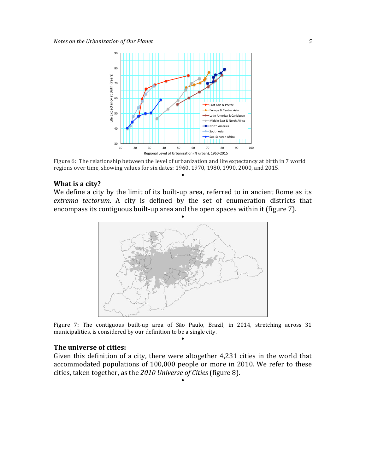

Figure 6: The relationship between the level of urbanization and life expectancy at birth in 7 world regions over time, showing values for six dates: 1960, 1970, 1980, 1990, 2000, and 2015.

 $\bullet$ 

#### **What is a city?**

We define a city by the limit of its built-up area, referred to in ancient Rome as its extrema tectorum. A city is defined by the set of enumeration districts that encompass its contiguous built-up area and the open spaces within it (figure 7).



Figure 7: The contiguous built-up area of São Paulo, Brazil, in 2014, stretching across 31 municipalities, is considered by our definition to be a single city.  $\bullet$ 

#### **The universe of cities:**

Given this definition of a city, there were altogether  $4,231$  cities in the world that accommodated populations of 100,000 people or more in 2010. We refer to these cities, taken together, as the 2010 Universe of Cities (figure 8).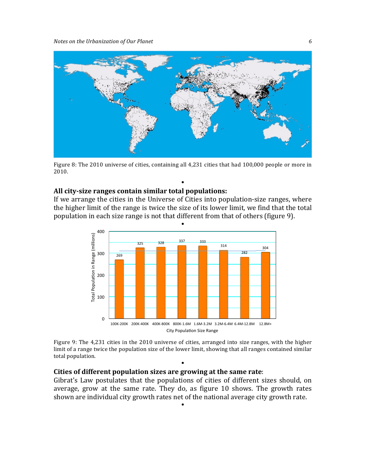

Figure 8: The 2010 universe of cities, containing all 4,231 cities that had 100,000 people or more in 2010.

 $\bullet$ 

#### **All city-size ranges contain similar total populations:**

If we arrange the cities in the Universe of Cities into population-size ranges, where the higher limit of the range is twice the size of its lower limit, we find that the total population in each size range is not that different from that of others (figure 9).



Figure 9: The 4,231 cities in the 2010 universe of cities, arranged into size ranges, with the higher limit of a range twice the population size of the lower limit, showing that all ranges contained similar total population.

 $\bullet$ 

#### **Cities of different population sizes are growing at the same rate:**

Gibrat's Law postulates that the populations of cities of different sizes should, on average, grow at the same rate. They do, as figure 10 shows. The growth rates shown are individual city growth rates net of the national average city growth rate.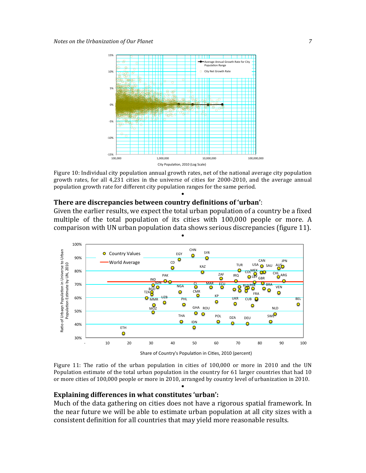

Figure 10: Individual city population annual growth rates, net of the national average city population growth rates, for all  $4,231$  cities in the universe of cities for  $2000-2010$ , and the average annual population growth rate for different city population ranges for the same period.

 $\bullet$ 

#### **There are discrepancies between country definitions of 'urban':**

Given the earlier results, we expect the total urban population of a country be a fixed multiple of the total population of its cities with 100,000 people or more. A comparison with UN urban population data shows serious discrepancies (figure 11).



Share of Country's Population in Cities, 2010 (percent)

Figure 11: The ratio of the urban population in cities of  $100,000$  or more in 2010 and the UN Population estimate of the total urban population in the country for 61 larger countries that had 10 or more cities of 100,000 people or more in 2010, arranged by country level of urbanization in 2010.  $\bullet$ 

#### **Explaining differences in what constitutes 'urban':**

Much of the data gathering on cities does not have a rigorous spatial framework. In the near future we will be able to estimate urban population at all city sizes with a consistent definition for all countries that may yield more reasonable results.